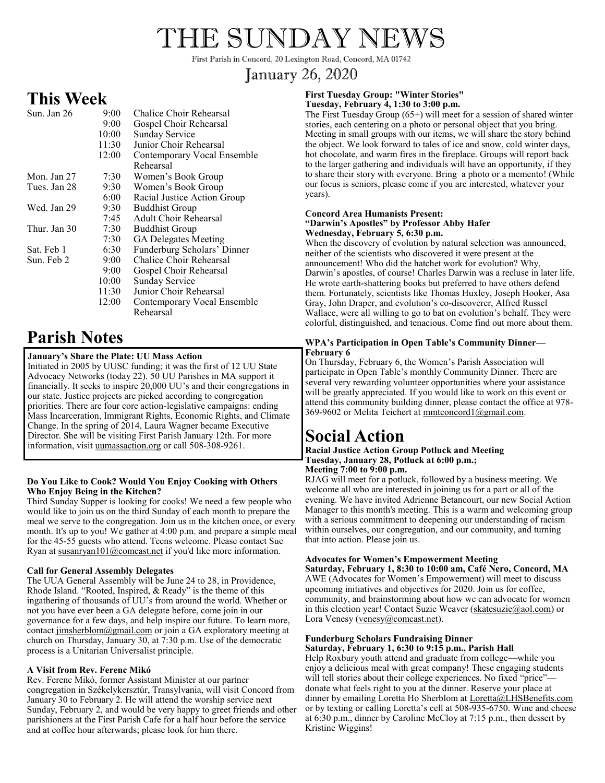# THE SUNDAY NEWS

First Parish in Concord, 20 Lexington Road, Concord, MA 01742

# January 26, 2020

# **This Week**

| Sun. Jan 26  | 9:00       | Chalice Choir Rehearsal     |
|--------------|------------|-----------------------------|
|              | 9:00       | Gospel Choir Rehearsal      |
|              | 10:00      | Sunday Service              |
|              | 11:30      | Junior Choir Rehearsal      |
|              | 12:00      | Contemporary Vocal Ensemble |
|              |            | Rehearsal                   |
| Mon. Jan 27  | 7:30       | Women's Book Group          |
| Tues. Jan 28 | 9:30       | Women's Book Group          |
|              | 6:00       | Racial Justice Action Group |
| Wed. Jan 29  | 9:30       | <b>Buddhist Group</b>       |
|              | 7:45       | Adult Choir Rehearsal       |
| Thur. Jan 30 | 7:30       | <b>Buddhist Group</b>       |
|              | 7:30       | GA Delegates Meeting        |
| Sat. Feb 1   | 6:30       | Funderburg Scholars' Dinner |
| Sun. Feb 2   | $9:00^{-}$ | Chalice Choir Rehearsal     |
|              | 9:00       | Gospel Choir Rehearsal      |
|              | 10:00      | Sunday Service              |
|              | 11:30      | Junior Choir Rehearsal      |
|              | 12:00      | Contemporary Vocal Ensemble |
|              |            | Rehearsal                   |

# **Parish Notes**

#### **January's Share the Plate: UU Mass Action**

Initiated in 2005 by UUSC funding; it was the first of 12 UU State Advocacy Networks (today 22). 50 UU Parishes in MA support it financially. It seeks to inspire 20,000 UU's and their congregations in our state. Justice projects are picked according to congregation priorities. There are four core action-legislative campaigns: ending Mass Incarceration, Immigrant Rights, Economic Rights, and Climate Change. In the spring of 2014, Laura Wagner became Executive Director. She will be visiting First Parish January 12th. For more information, visit uumassaction.org or call 508-308-9261.

#### **Do You Like to Cook? Would You Enjoy Cooking with Others Who Enjoy Being in the Kitchen?**

Third Sunday Supper is looking for cooks! We need a few people who would like to join us on the third Sunday of each month to prepare the meal we serve to the congregation. Join us in the kitchen once, or every month. It's up to you! We gather at 4:00 p.m. and prepare a simple meal for the 45-55 guests who attend. Teens welcome. Please contact Sue Ryan at susanryan101@comcast.net if you'd like more information.

#### **Call for General Assembly Delegates**

The UUA General Assembly will be June 24 to 28, in Providence, Rhode Island. "Rooted, Inspired, & Ready" is the theme of this ingathering of thousands of UU's from around the world. Whether or not you have ever been a GA delegate before, come join in our governance for a few days, and help inspire our future. To learn more, contact jimsherblom@gmail.com or join a GA exploratory meeting at church on Thursday, January 30, at 7:30 p.m. Use of the democratic process is a Unitarian Universalist principle.

#### **A Visit from Rev. Ferenc Mikó**

Rev. Ferenc Mikó, former Assistant Minister at our partner congregation in Székelykersztúr, Transylvania, will visit Concord from January 30 to February 2. He will attend the worship service next Sunday, February 2, and would be very happy to greet friends and other parishioners at the First Parish Cafe for a half hour before the service and at coffee hour afterwards; please look for him there.

### **First Tuesday Group: "Winter Stories"**

**Tuesday, February 4, 1:30 to 3:00 p.m.**

The First Tuesday Group (65+) will meet for a session of shared winter stories, each centering on a photo or personal object that you bring. Meeting in small groups with our items, we will share the story behind the object. We look forward to tales of ice and snow, cold winter days, hot chocolate, and warm fires in the fireplace. Groups will report back to the larger gathering and individuals will have an opportunity, if they to share their story with everyone. Bring a photo or a memento! (While our focus is seniors, please come if you are interested, whatever your years).

#### **Concord Area Humanists Present: "Darwin's Apostles" by Professor Abby Hafer Wednesday, February 5, 6:30 p.m.**

When the discovery of evolution by natural selection was announced, neither of the scientists who discovered it were present at the announcement! Who did the hatchet work for evolution? Why, Darwin's apostles, of course! Charles Darwin was a recluse in later life. He wrote earth-shattering books but preferred to have others defend them. Fortunately, scientists like Thomas Huxley, Joseph Hooker, Asa Gray, John Draper, and evolution's co-discoverer, Alfred Russel Wallace, were all willing to go to bat on evolution's behalf. They were colorful, distinguished, and tenacious. Come find out more about them.

#### **WPA's Participation in Open Table's Community Dinner— February 6**

On Thursday, February 6, the Women's Parish Association will participate in Open Table's monthly Community Dinner. There are several very rewarding volunteer opportunities where your assistance will be greatly appreciated. If you would like to work on this event or attend this community building dinner, please contact the office at 978- 369-9602 or Melita Teichert at mmtconcord $1$ @gmail.com.

# **Social Action**

#### **Racial Justice Action Group Potluck and Meeting Tuesday, January 28, Potluck at 6:00 p.m.; Meeting 7:00 to 9:00 p.m.**

RJAG will meet for a potluck, followed by a business meeting. We welcome all who are interested in joining us for a part or all of the evening. We have invited Adrienne Betancourt, our new Social Action Manager to this month's meeting. This is a warm and welcoming group with a serious commitment to deepening our understanding of racism within ourselves, our congregation, and our community, and turning that into action. Please join us.

#### **Advocates for Women's Empowerment Meeting**

**Saturday, February 1, 8:30 to 10:00 am, Café Nero, Concord, MA** AWE (Advocates for Women's Empowerment) will meet to discuss upcoming initiatives and objectives for 2020. Join us for coffee, community, and brainstorming about how we can advocate for women in this election year! Contact Suzie Weaver (skatesuzie@aol.com) or Lora Venesy (venesy@comcast.net).

#### **Funderburg Scholars Fundraising Dinner Saturday, February 1, 6:30 to 9:15 p.m., Parish Hall**

Help Roxbury youth attend and graduate from college—while you enjoy a delicious meal with great company! These engaging students will tell stories about their college experiences. No fixed "price"donate what feels right to you at the dinner. Reserve your place at dinner by emailing Loretta Ho Sherblom at Loretta@LHSBenefits.com or by texting or calling Loretta's cell at 508-935-6750. Wine and cheese at 6:30 p.m., dinner by Caroline McCloy at 7:15 p.m., then dessert by Kristine Wiggins!